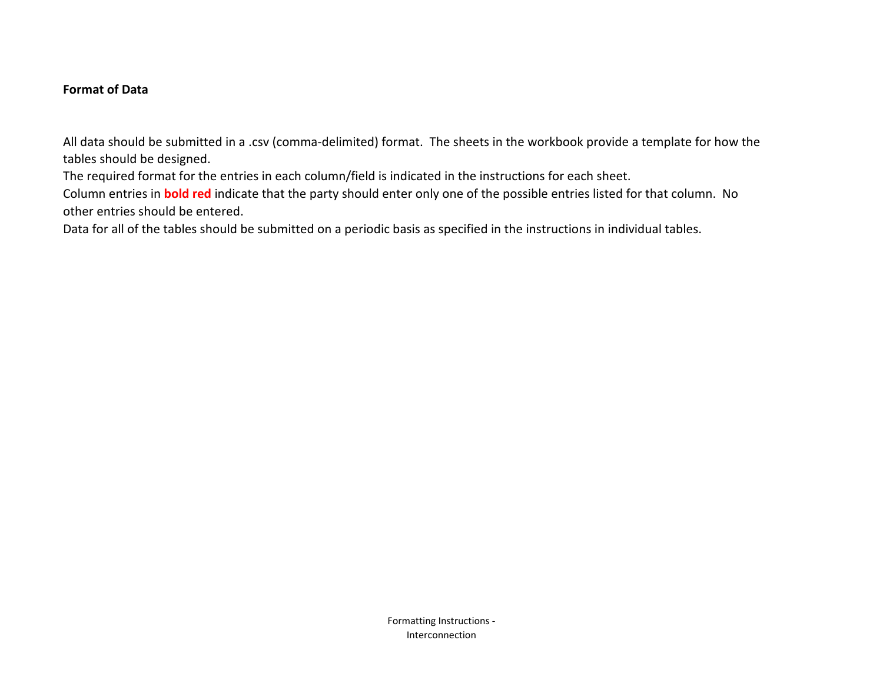# **Format of Data**

All data should be submitted in a .csv (comma-delimited) format. The sheets in the workbook provide a template for how the tables should be designed.

The required format for the entries in each column/field is indicated in the instructions for each sheet.

Column entries in **bold red** indicate that the party should enter only one of the possible entries listed for that column. No other entries should be entered.

Data for all of the tables should be submitted on a periodic basis as specified in the instructions in individual tables.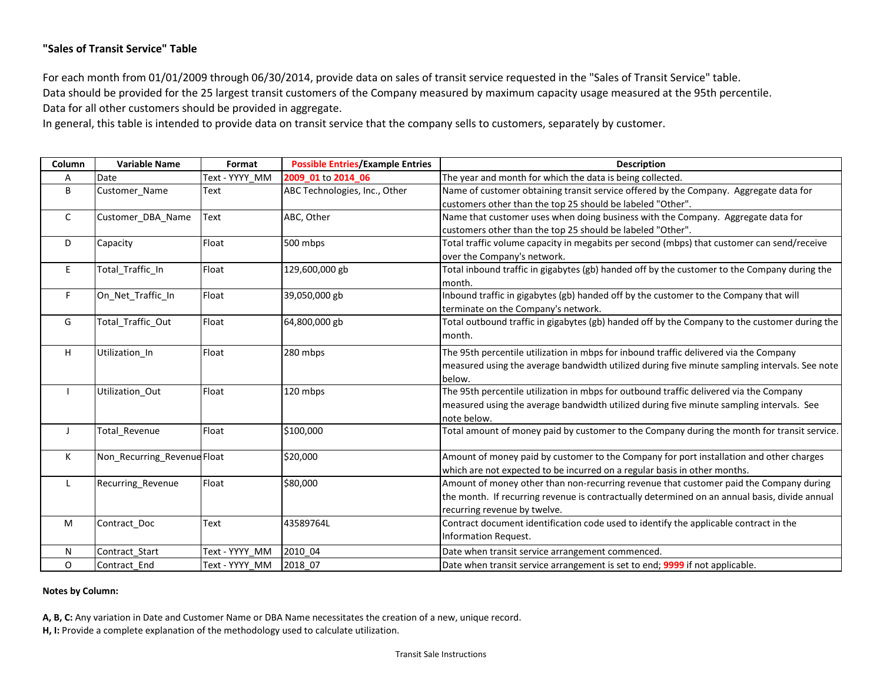## **"Sales of Transit Service" Table**

For each month from 01/01/2009 through 06/30/2014, provide data on sales of transit service requested in the "Sales of Transit Service" table. Data should be provided for the 25 largest transit customers of the Company measured by maximum capacity usage measured at the 95th percentile. Data for all other customers should be provided in aggregate.

In general, this table is intended to provide data on transit service that the company sells to customers, separately by customer.

| Column       | <b>Variable Name</b>        | Format         | <b>Possible Entries/Example Entries</b> | <b>Description</b>                                                                            |
|--------------|-----------------------------|----------------|-----------------------------------------|-----------------------------------------------------------------------------------------------|
| Α            | Date                        | Text - YYYY MM | 2009 01 to 2014 06                      | The year and month for which the data is being collected.                                     |
| B            | Customer Name               | Text           | ABC Technologies, Inc., Other           | Name of customer obtaining transit service offered by the Company. Aggregate data for         |
|              |                             |                |                                         | customers other than the top 25 should be labeled "Other".                                    |
| $\mathsf{C}$ | Customer_DBA_Name           | Text           | ABC, Other                              | Name that customer uses when doing business with the Company. Aggregate data for              |
|              |                             |                |                                         | customers other than the top 25 should be labeled "Other".                                    |
| D            | Capacity                    | Float          | 500 mbps                                | Total traffic volume capacity in megabits per second (mbps) that customer can send/receive    |
|              |                             |                |                                         | over the Company's network.                                                                   |
| E            | Total Traffic In            | Float          | 129,600,000 gb                          | Total inbound traffic in gigabytes (gb) handed off by the customer to the Company during the  |
|              |                             |                |                                         | month.                                                                                        |
| $\mathsf F$  | On_Net_Traffic_In           | Float          | 39,050,000 gb                           | Inbound traffic in gigabytes (gb) handed off by the customer to the Company that will         |
|              |                             |                |                                         | terminate on the Company's network.                                                           |
| G            | Total Traffic Out           | Float          | 64,800,000 gb                           | Total outbound traffic in gigabytes (gb) handed off by the Company to the customer during the |
|              |                             |                |                                         | month.                                                                                        |
| H            | Utilization In              | Float          | 280 mbps                                | The 95th percentile utilization in mbps for inbound traffic delivered via the Company         |
|              |                             |                |                                         | measured using the average bandwidth utilized during five minute sampling intervals. See note |
|              |                             |                |                                         | below.                                                                                        |
|              | Utilization Out             | Float          | 120 mbps                                | The 95th percentile utilization in mbps for outbound traffic delivered via the Company        |
|              |                             |                |                                         | measured using the average bandwidth utilized during five minute sampling intervals. See      |
|              |                             |                |                                         | note below.                                                                                   |
| J            | Total Revenue               | Float          | \$100,000                               | Total amount of money paid by customer to the Company during the month for transit service.   |
|              |                             |                |                                         |                                                                                               |
| К            | Non_Recurring_Revenue Float |                | \$20,000                                | Amount of money paid by customer to the Company for port installation and other charges       |
|              |                             |                |                                         | which are not expected to be incurred on a regular basis in other months.                     |
| L            | Recurring_Revenue           | Float          | \$80,000                                | Amount of money other than non-recurring revenue that customer paid the Company during        |
|              |                             |                |                                         | the month. If recurring revenue is contractually determined on an annual basis, divide annual |
|              |                             |                |                                         | recurring revenue by twelve.                                                                  |
| M            | Contract Doc                | Text           | 43589764L                               | Contract document identification code used to identify the applicable contract in the         |
|              |                             |                |                                         | Information Request.                                                                          |
| N            | Contract Start              | Text - YYYY MM | 2010 04                                 | Date when transit service arrangement commenced.                                              |
| O            | Contract End                | Text - YYYY MM | 2018 07                                 | Date when transit service arrangement is set to end; 9999 if not applicable.                  |

### **Notes by Column:**

**A, B, C:** Any variation in Date and Customer Name or DBA Name necessitates the creation of a new, unique record.

**H, I:** Provide a complete explanation of the methodology used to calculate utilization.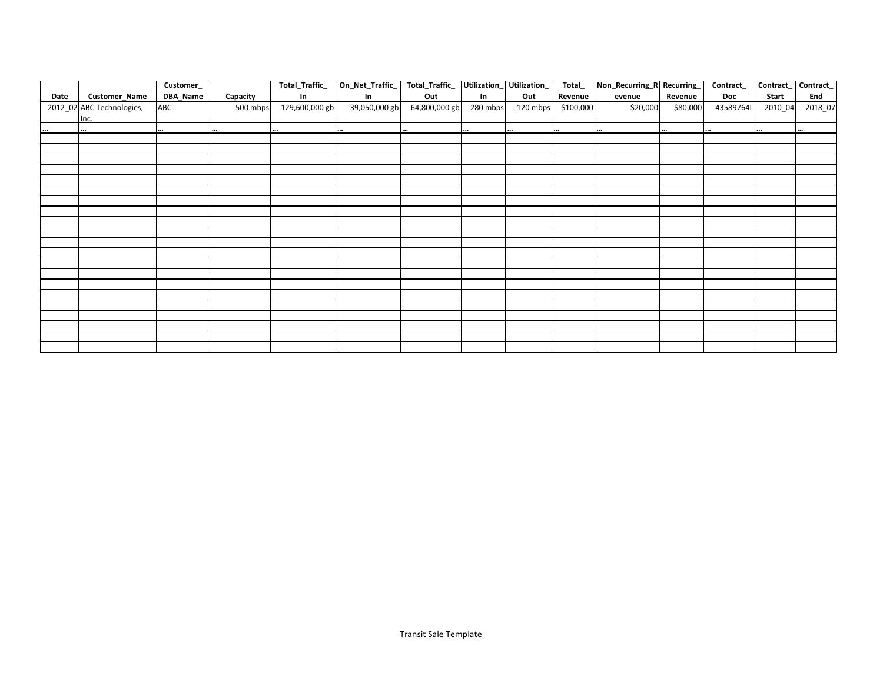|      |                           | Customer_ |          | Total_Traffic_ | On_Net_Traffic_ | Total_Traffic_ |          | Utilization_Utilization_ | Total_    | Non_Recurring_R Recurring_ |          | Contract_ | Contract_ | Contract_ |
|------|---------------------------|-----------|----------|----------------|-----------------|----------------|----------|--------------------------|-----------|----------------------------|----------|-----------|-----------|-----------|
| Date | Customer_Name             | DBA_Name  | Capacity | In             | In              | Out            | In       | Out                      | Revenue   | evenue                     | Revenue  | Doc       | Start     | End       |
|      | 2012_02 ABC Technologies, | ABC       | 500 mbps | 129,600,000 gb | 39,050,000 gb   | 64,800,000 gb  | 280 mbps | 120 mbps                 | \$100,000 | \$20,000                   | \$80,000 | 43589764L | 2010_04   | 2018_07   |
|      | Inc.                      |           |          |                |                 |                |          |                          |           |                            |          |           |           |           |
|      | $\cdots$                  |           | $\cdots$ |                |                 |                |          | $\cdots$                 | $\cdots$  | $\cdots$                   |          | $\cdots$  | $\cdots$  |           |
|      |                           |           |          |                |                 |                |          |                          |           |                            |          |           |           |           |
|      |                           |           |          |                |                 |                |          |                          |           |                            |          |           |           |           |
|      |                           |           |          |                |                 |                |          |                          |           |                            |          |           |           |           |
|      |                           |           |          |                |                 |                |          |                          |           |                            |          |           |           |           |
|      |                           |           |          |                |                 |                |          |                          |           |                            |          |           |           |           |
|      |                           |           |          |                |                 |                |          |                          |           |                            |          |           |           |           |
|      |                           |           |          |                |                 |                |          |                          |           |                            |          |           |           |           |
|      |                           |           |          |                |                 |                |          |                          |           |                            |          |           |           |           |
|      |                           |           |          |                |                 |                |          |                          |           |                            |          |           |           |           |
|      |                           |           |          |                |                 |                |          |                          |           |                            |          |           |           |           |
|      |                           |           |          |                |                 |                |          |                          |           |                            |          |           |           |           |
|      |                           |           |          |                |                 |                |          |                          |           |                            |          |           |           |           |
|      |                           |           |          |                |                 |                |          |                          |           |                            |          |           |           |           |
|      |                           |           |          |                |                 |                |          |                          |           |                            |          |           |           |           |
|      |                           |           |          |                |                 |                |          |                          |           |                            |          |           |           |           |
|      |                           |           |          |                |                 |                |          |                          |           |                            |          |           |           |           |
|      |                           |           |          |                |                 |                |          |                          |           |                            |          |           |           |           |
|      |                           |           |          |                |                 |                |          |                          |           |                            |          |           |           |           |
|      |                           |           |          |                |                 |                |          |                          |           |                            |          |           |           |           |
|      |                           |           |          |                |                 |                |          |                          |           |                            |          |           |           |           |
|      |                           |           |          |                |                 |                |          |                          |           |                            |          |           |           |           |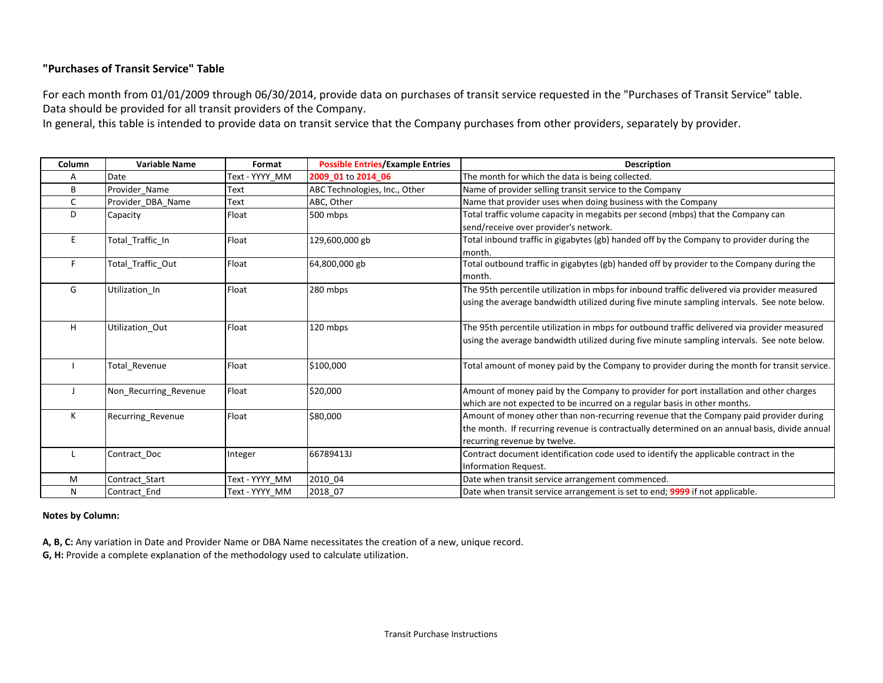## **"Purchases of Transit Service" Table**

For each month from 01/01/2009 through 06/30/2014, provide data on purchases of transit service requested in the "Purchases of Transit Service" table. Data should be provided for all transit providers of the Company.

In general, this table is intended to provide data on transit service that the Company purchases from other providers, separately by provider.

| Column       | <b>Variable Name</b>  | Format         | <b>Possible Entries/Example Entries</b> | <b>Description</b>                                                                            |
|--------------|-----------------------|----------------|-----------------------------------------|-----------------------------------------------------------------------------------------------|
| A            | Date                  | Text - YYYY MM | 2009 01 to 2014 06                      | The month for which the data is being collected.                                              |
| B            | Provider Name         | Text           | ABC Technologies, Inc., Other           | Name of provider selling transit service to the Company                                       |
| $\mathsf{C}$ | Provider DBA Name     | Text           | ABC. Other                              | Name that provider uses when doing business with the Company                                  |
| D            | Capacity              | Float          | 500 mbps                                | Total traffic volume capacity in megabits per second (mbps) that the Company can              |
|              |                       |                |                                         | send/receive over provider's network.                                                         |
| E.           | Total_Traffic_In      | Float          | 129,600,000 gb                          | Total inbound traffic in gigabytes (gb) handed off by the Company to provider during the      |
|              |                       |                |                                         | month.                                                                                        |
| F.           | Total_Traffic_Out     | Float          | 64,800,000 gb                           | Total outbound traffic in gigabytes (gb) handed off by provider to the Company during the     |
|              |                       |                |                                         | month.                                                                                        |
| G            | Utilization In        | Float          | 280 mbps                                | The 95th percentile utilization in mbps for inbound traffic delivered via provider measured   |
|              |                       |                |                                         | using the average bandwidth utilized during five minute sampling intervals. See note below.   |
|              |                       |                |                                         |                                                                                               |
| H            | Utilization Out       | Float          | 120 mbps                                | The 95th percentile utilization in mbps for outbound traffic delivered via provider measured  |
|              |                       |                |                                         | using the average bandwidth utilized during five minute sampling intervals. See note below.   |
|              |                       |                |                                         |                                                                                               |
|              | Total_Revenue         | Float          | \$100,000                               | Total amount of money paid by the Company to provider during the month for transit service.   |
|              |                       |                |                                         |                                                                                               |
|              | Non_Recurring_Revenue | Float          | \$20,000                                | Amount of money paid by the Company to provider for port installation and other charges       |
|              |                       |                |                                         | which are not expected to be incurred on a regular basis in other months.                     |
| К            | Recurring_Revenue     | Float          | \$80,000                                | Amount of money other than non-recurring revenue that the Company paid provider during        |
|              |                       |                |                                         | the month. If recurring revenue is contractually determined on an annual basis, divide annual |
|              |                       |                |                                         | recurring revenue by twelve.                                                                  |
|              | Contract Doc          | Integer        | 66789413J                               | Contract document identification code used to identify the applicable contract in the         |
|              |                       |                |                                         | Information Request.                                                                          |
| M            | Contract Start        | Text - YYYY MM | 2010_04                                 | Date when transit service arrangement commenced.                                              |
| N            | Contract End          | Text - YYYY_MM | 2018 07                                 | Date when transit service arrangement is set to end; 9999 if not applicable.                  |

### **Notes by Column:**

**A, B, C:** Any variation in Date and Provider Name or DBA Name necessitates the creation of a new, unique record.

**G, H:** Provide a complete explanation of the methodology used to calculate utilization.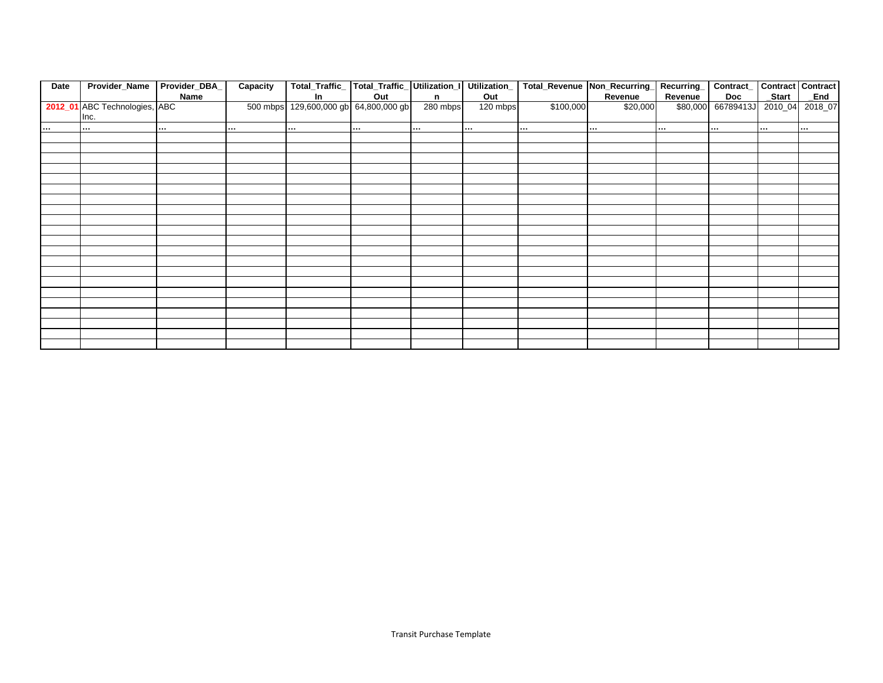| Date     | Provider_Name                 | Provider_DBA | Capacity | Total_Traffic_  Total_Traffic_ Utilization_I Utilization_ |          |              |          |           | Total_Revenue Non_Recurring | Recurring | Contract_  |          | Contract Contract |
|----------|-------------------------------|--------------|----------|-----------------------------------------------------------|----------|--------------|----------|-----------|-----------------------------|-----------|------------|----------|-------------------|
|          |                               | Name         |          | In                                                        | Out      | $\mathbf{n}$ | Out      |           | Revenue                     | Revenue   | Doc        | Start    | <b>End</b>        |
|          | 2012_01 ABC Technologies, ABC |              | 500 mbps | 129,600,000 gb 64,800,000 gb                              |          | 280 mbps     | 120 mbps | \$100,000 | \$20,000                    | \$80,000  | 66789413J  | $2010_0$ | 2018_07           |
|          | Inc.                          |              |          |                                                           |          |              |          |           |                             |           |            |          |                   |
| $\cdots$ | $\cdots$                      | $\cdots$     |          | $\sim 10^{-1}$                                            | $\cdots$ | $\cdots$     |          | $\cdots$  | $\cdots$                    | $\cdots$  | $\sim 100$ |          | $\sim 100$        |
|          |                               |              |          |                                                           |          |              |          |           |                             |           |            |          |                   |
|          |                               |              |          |                                                           |          |              |          |           |                             |           |            |          |                   |
|          |                               |              |          |                                                           |          |              |          |           |                             |           |            |          |                   |
|          |                               |              |          |                                                           |          |              |          |           |                             |           |            |          |                   |
|          |                               |              |          |                                                           |          |              |          |           |                             |           |            |          |                   |
|          |                               |              |          |                                                           |          |              |          |           |                             |           |            |          |                   |
|          |                               |              |          |                                                           |          |              |          |           |                             |           |            |          |                   |
|          |                               |              |          |                                                           |          |              |          |           |                             |           |            |          |                   |
|          |                               |              |          |                                                           |          |              |          |           |                             |           |            |          |                   |
|          |                               |              |          |                                                           |          |              |          |           |                             |           |            |          |                   |
|          |                               |              |          |                                                           |          |              |          |           |                             |           |            |          |                   |
|          |                               |              |          |                                                           |          |              |          |           |                             |           |            |          |                   |
|          |                               |              |          |                                                           |          |              |          |           |                             |           |            |          |                   |
|          |                               |              |          |                                                           |          |              |          |           |                             |           |            |          |                   |
|          |                               |              |          |                                                           |          |              |          |           |                             |           |            |          |                   |
|          |                               |              |          |                                                           |          |              |          |           |                             |           |            |          |                   |
|          |                               |              |          |                                                           |          |              |          |           |                             |           |            |          |                   |
|          |                               |              |          |                                                           |          |              |          |           |                             |           |            |          |                   |
|          |                               |              |          |                                                           |          |              |          |           |                             |           |            |          |                   |
|          |                               |              |          |                                                           |          |              |          |           |                             |           |            |          |                   |
|          |                               |              |          |                                                           |          |              |          |           |                             |           |            |          |                   |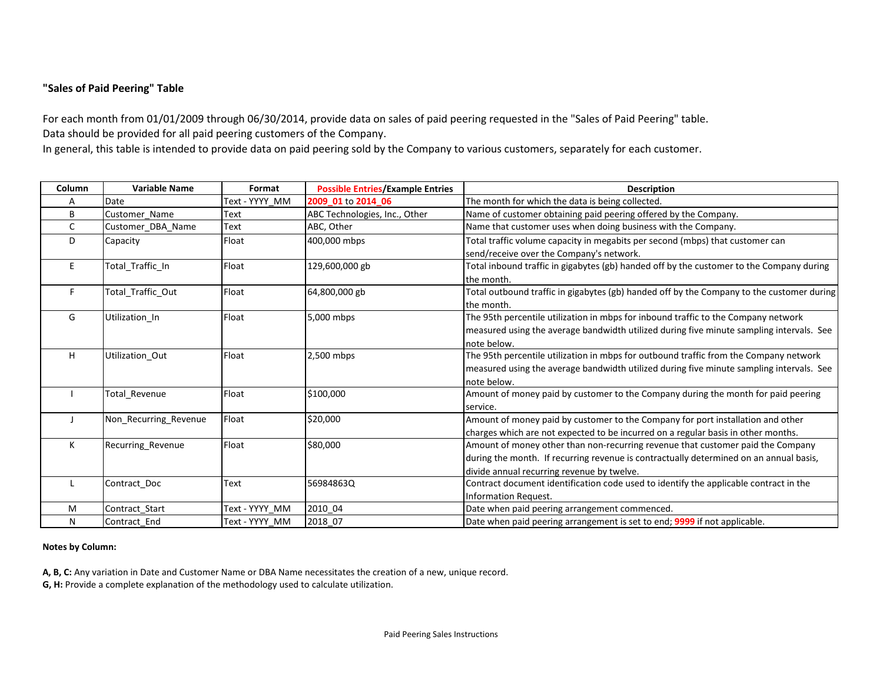### **"Sales of Paid Peering" Table**

For each month from 01/01/2009 through 06/30/2014, provide data on sales of paid peering requested in the "Sales of Paid Peering" table. Data should be provided for all paid peering customers of the Company.

In general, this table is intended to provide data on paid peering sold by the Company to various customers, separately for each customer.

| Column | <b>Variable Name</b>  | Format         | <b>Possible Entries/Example Entries</b> | <b>Description</b>                                                                        |
|--------|-----------------------|----------------|-----------------------------------------|-------------------------------------------------------------------------------------------|
| А      | Date                  | Text - YYYY MM | 2009 01 to 2014 06                      | The month for which the data is being collected.                                          |
| B      | Customer Name         | Text           | ABC Technologies, Inc., Other           | Name of customer obtaining paid peering offered by the Company.                           |
| C      | Customer DBA Name     | Text           | ABC, Other                              | Name that customer uses when doing business with the Company.                             |
| D      | Capacity              | Float          | 400,000 mbps                            | Total traffic volume capacity in megabits per second (mbps) that customer can             |
|        |                       |                |                                         | send/receive over the Company's network.                                                  |
| E      | Total_Traffic_In      | Float          | 129,600,000 gb                          | Total inbound traffic in gigabytes (gb) handed off by the customer to the Company during  |
|        |                       |                |                                         | the month.                                                                                |
| F      | Total Traffic Out     | Float          | 64,800,000 gb                           | Total outbound traffic in gigabytes (gb) handed off by the Company to the customer during |
|        |                       |                |                                         | the month.                                                                                |
| G      | Utilization In        | Float          | 5,000 mbps                              | The 95th percentile utilization in mbps for inbound traffic to the Company network        |
|        |                       |                |                                         | measured using the average bandwidth utilized during five minute sampling intervals. See  |
|        |                       |                |                                         | note below.                                                                               |
| H      | Utilization Out       | Float          | 2,500 mbps                              | The 95th percentile utilization in mbps for outbound traffic from the Company network     |
|        |                       |                |                                         | measured using the average bandwidth utilized during five minute sampling intervals. See  |
|        |                       |                |                                         | note below.                                                                               |
|        | Total Revenue         | Float          | \$100,000                               | Amount of money paid by customer to the Company during the month for paid peering         |
|        |                       |                |                                         | service.                                                                                  |
|        | Non_Recurring_Revenue | Float          | \$20,000                                | Amount of money paid by customer to the Company for port installation and other           |
|        |                       |                |                                         | charges which are not expected to be incurred on a regular basis in other months.         |
| K      | Recurring_Revenue     | Float          | \$80,000                                | Amount of money other than non-recurring revenue that customer paid the Company           |
|        |                       |                |                                         | during the month. If recurring revenue is contractually determined on an annual basis,    |
|        |                       |                |                                         | divide annual recurring revenue by twelve.                                                |
|        | Contract_Doc          | Text           | 56984863Q                               | Contract document identification code used to identify the applicable contract in the     |
|        |                       |                |                                         | Information Request.                                                                      |
| M      | Contract Start        | Text - YYYY MM | 2010 04                                 | Date when paid peering arrangement commenced.                                             |
| N      | Contract End          | Text - YYYY MM | 2018 07                                 | Date when paid peering arrangement is set to end; 9999 if not applicable.                 |

#### **Notes by Column:**

**A, B, C:** Any variation in Date and Customer Name or DBA Name necessitates the creation of a new, unique record.

**G, H:** Provide a complete explanation of the methodology used to calculate utilization.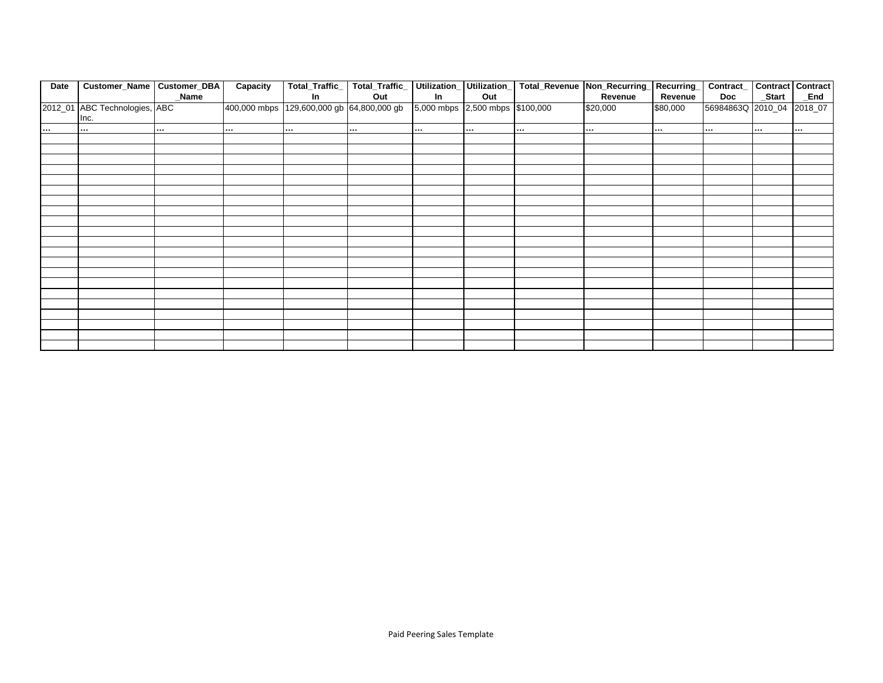| Date          | Customer_Name Customer_DBA    |               | Capacity | Total_Traffic_                            | Total_Traffic_ Utilization_ Utilization_ |                                 |          | Total_Revenue Non_Recurring |          | Recurring | Contract_   Contract   Contract |          |          |
|---------------|-------------------------------|---------------|----------|-------------------------------------------|------------------------------------------|---------------------------------|----------|-----------------------------|----------|-----------|---------------------------------|----------|----------|
|               |                               | Name          |          | ln                                        | Out                                      | In                              | Out      |                             | Revenue  | Revenue   | Doc                             | _Start   | _End     |
|               | 2012_01 ABC Technologies, ABC |               |          | 400,000 mbps 129,600,000 gb 64,800,000 gb |                                          | 5,000 mbps 2,500 mbps \$100,000 |          |                             | \$20,000 | \$80,000  | 56984863Q 2010_04               |          | 2018_07  |
|               | Inc.                          |               |          |                                           |                                          |                                 |          |                             |          |           |                                 |          |          |
| $\sim$ $\sim$ |                               | $\sim$ $\sim$ | $\cdots$ |                                           | $\cdots$                                 | $\cdots$                        | $\cdots$ | $\cdots$                    |          |           |                                 | $\cdots$ | $\cdots$ |
|               |                               |               |          |                                           |                                          |                                 |          |                             |          |           |                                 |          |          |
|               |                               |               |          |                                           |                                          |                                 |          |                             |          |           |                                 |          |          |
|               |                               |               |          |                                           |                                          |                                 |          |                             |          |           |                                 |          |          |
|               |                               |               |          |                                           |                                          |                                 |          |                             |          |           |                                 |          |          |
|               |                               |               |          |                                           |                                          |                                 |          |                             |          |           |                                 |          |          |
|               |                               |               |          |                                           |                                          |                                 |          |                             |          |           |                                 |          |          |
|               |                               |               |          |                                           |                                          |                                 |          |                             |          |           |                                 |          |          |
|               |                               |               |          |                                           |                                          |                                 |          |                             |          |           |                                 |          |          |
|               |                               |               |          |                                           |                                          |                                 |          |                             |          |           |                                 |          |          |
|               |                               |               |          |                                           |                                          |                                 |          |                             |          |           |                                 |          |          |
|               |                               |               |          |                                           |                                          |                                 |          |                             |          |           |                                 |          |          |
|               |                               |               |          |                                           |                                          |                                 |          |                             |          |           |                                 |          |          |
|               |                               |               |          |                                           |                                          |                                 |          |                             |          |           |                                 |          |          |
|               |                               |               |          |                                           |                                          |                                 |          |                             |          |           |                                 |          |          |
|               |                               |               |          |                                           |                                          |                                 |          |                             |          |           |                                 |          |          |
|               |                               |               |          |                                           |                                          |                                 |          |                             |          |           |                                 |          |          |
|               |                               |               |          |                                           |                                          |                                 |          |                             |          |           |                                 |          |          |
|               |                               |               |          |                                           |                                          |                                 |          |                             |          |           |                                 |          |          |
|               |                               |               |          |                                           |                                          |                                 |          |                             |          |           |                                 |          |          |
|               |                               |               |          |                                           |                                          |                                 |          |                             |          |           |                                 |          |          |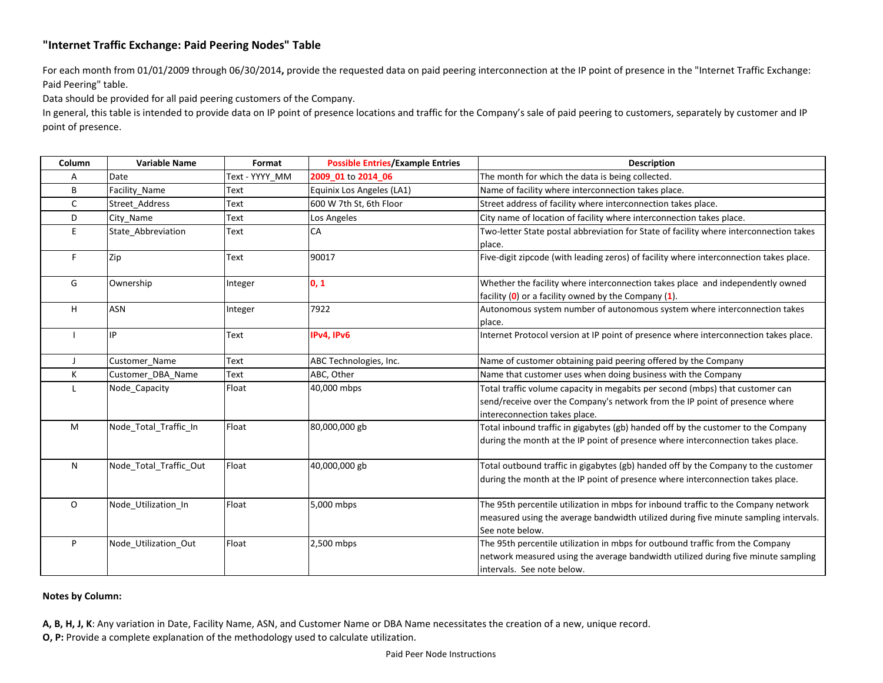## **"Internet Traffic Exchange: Paid Peering Nodes" Table**

For each month from 01/01/2009 through 06/30/2014**,** provide the requested data on paid peering interconnection at the IP point of presence in the "Internet Traffic Exchange: Paid Peering" table.

Data should be provided for all paid peering customers of the Company.

In general, this table is intended to provide data on IP point of presence locations and traffic for the Company's sale of paid peering to customers, separately by customer and IP point of presence.

| Column       | <b>Variable Name</b>   | Format         | <b>Possible Entries/Example Entries</b> | <b>Description</b>                                                                                                                                                                               |
|--------------|------------------------|----------------|-----------------------------------------|--------------------------------------------------------------------------------------------------------------------------------------------------------------------------------------------------|
| Α            | Date                   | Text - YYYY_MM | 2009 01 to 2014 06                      | The month for which the data is being collected.                                                                                                                                                 |
| B            | Facility Name          | Text           | Equinix Los Angeles (LA1)               | Name of facility where interconnection takes place.                                                                                                                                              |
| C            | Street Address         | Text           | 600 W 7th St, 6th Floor                 | Street address of facility where interconnection takes place.                                                                                                                                    |
| D            | City Name              | Text           | Los Angeles                             | City name of location of facility where interconnection takes place.                                                                                                                             |
| E            | State Abbreviation     | Text           | CA                                      | Two-letter State postal abbreviation for State of facility where interconnection takes<br>place.                                                                                                 |
| F            | Zip                    | Text           | 90017                                   | Five-digit zipcode (with leading zeros) of facility where interconnection takes place.                                                                                                           |
| G            | Ownership              | Integer        | 0, 1                                    | Whether the facility where interconnection takes place and independently owned<br>facility $(0)$ or a facility owned by the Company $(1)$ .                                                      |
| H            | <b>ASN</b>             | Integer        | 7922                                    | Autonomous system number of autonomous system where interconnection takes<br>place.                                                                                                              |
|              | IP                     | Text           | IPv4, IPv6                              | Internet Protocol version at IP point of presence where interconnection takes place.                                                                                                             |
| $\mathbf{I}$ | Customer Name          | Text           | ABC Technologies, Inc.                  | Name of customer obtaining paid peering offered by the Company                                                                                                                                   |
| Κ            | Customer DBA Name      | Text           | ABC, Other                              | Name that customer uses when doing business with the Company                                                                                                                                     |
| L            | Node Capacity          | Float          | 40,000 mbps                             | Total traffic volume capacity in megabits per second (mbps) that customer can<br>send/receive over the Company's network from the IP point of presence where<br>intereconnection takes place.    |
| M            | Node_Total_Traffic_In  | Float          | 80,000,000 gb                           | Total inbound traffic in gigabytes (gb) handed off by the customer to the Company<br>during the month at the IP point of presence where interconnection takes place.                             |
| N            | Node Total Traffic Out | Float          | 40,000,000 gb                           | Total outbound traffic in gigabytes (gb) handed off by the Company to the customer<br>during the month at the IP point of presence where interconnection takes place.                            |
| $\circ$      | Node_Utilization_In    | Float          | 5,000 mbps                              | The 95th percentile utilization in mbps for inbound traffic to the Company network<br>measured using the average bandwidth utilized during five minute sampling intervals.<br>See note below.    |
| P            | Node Utilization Out   | Float          | 2,500 mbps                              | The 95th percentile utilization in mbps for outbound traffic from the Company<br>network measured using the average bandwidth utilized during five minute sampling<br>intervals. See note below. |

### **Notes by Column:**

**A, B, H, J, K**: Any variation in Date, Facility Name, ASN, and Customer Name or DBA Name necessitates the creation of a new, unique record. **O, P:** Provide a complete explanation of the methodology used to calculate utilization.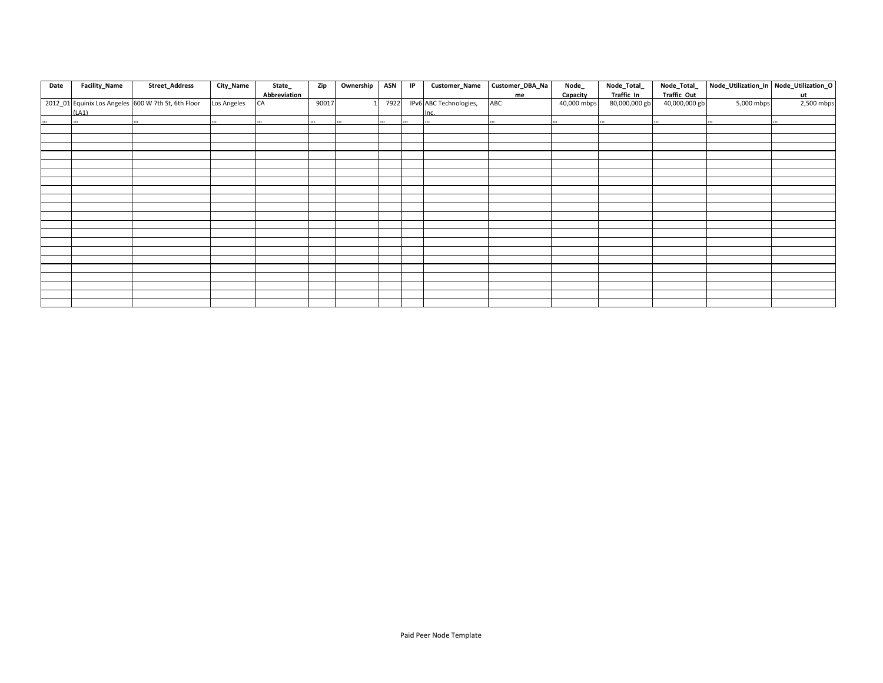| Date     | Facility_Name | <b>Street_Address</b>                               | City_Name   | State_       | Zip   | Ownership | ASN  | IP | Customer_Name          | Customer_DBA_Na | Node_       | Node_Total_   | Node_Total_   |            | Node_Utilization_In Node_Utilization_O |
|----------|---------------|-----------------------------------------------------|-------------|--------------|-------|-----------|------|----|------------------------|-----------------|-------------|---------------|---------------|------------|----------------------------------------|
|          |               |                                                     |             | Abbreviation |       |           |      |    |                        | me              | Capacity    | Traffic In    | Traffic Out   |            | ut                                     |
|          |               | 2012_01 Equinix Los Angeles 600 W 7th St, 6th Floor | Los Angeles | CA           | 90017 |           | 7922 |    | IPv6 ABC Technologies, | ABC             | 40,000 mbps | 80,000,000 gb | 40,000,000 gb | 5,000 mbps | 2,500 mbps                             |
|          | (LA1)         |                                                     |             |              |       |           |      |    | Inc.                   |                 |             |               |               |            |                                        |
| $\cdots$ |               |                                                     |             |              |       |           |      |    |                        |                 |             |               |               |            |                                        |
|          |               |                                                     |             |              |       |           |      |    |                        |                 |             |               |               |            |                                        |
|          |               |                                                     |             |              |       |           |      |    |                        |                 |             |               |               |            |                                        |
|          |               |                                                     |             |              |       |           |      |    |                        |                 |             |               |               |            |                                        |
|          |               |                                                     |             |              |       |           |      |    |                        |                 |             |               |               |            |                                        |
|          |               |                                                     |             |              |       |           |      |    |                        |                 |             |               |               |            |                                        |
|          |               |                                                     |             |              |       |           |      |    |                        |                 |             |               |               |            |                                        |
|          |               |                                                     |             |              |       |           |      |    |                        |                 |             |               |               |            |                                        |
|          |               |                                                     |             |              |       |           |      |    |                        |                 |             |               |               |            |                                        |
|          |               |                                                     |             |              |       |           |      |    |                        |                 |             |               |               |            |                                        |
|          |               |                                                     |             |              |       |           |      |    |                        |                 |             |               |               |            |                                        |
|          |               |                                                     |             |              |       |           |      |    |                        |                 |             |               |               |            |                                        |
|          |               |                                                     |             |              |       |           |      |    |                        |                 |             |               |               |            |                                        |
|          |               |                                                     |             |              |       |           |      |    |                        |                 |             |               |               |            |                                        |
|          |               |                                                     |             |              |       |           |      |    |                        |                 |             |               |               |            |                                        |
|          |               |                                                     |             |              |       |           |      |    |                        |                 |             |               |               |            |                                        |
|          |               |                                                     |             |              |       |           |      |    |                        |                 |             |               |               |            |                                        |
|          |               |                                                     |             |              |       |           |      |    |                        |                 |             |               |               |            |                                        |
|          |               |                                                     |             |              |       |           |      |    |                        |                 |             |               |               |            |                                        |
|          |               |                                                     |             |              |       |           |      |    |                        |                 |             |               |               |            |                                        |
|          |               |                                                     |             |              |       |           |      |    |                        |                 |             |               |               |            |                                        |
|          |               |                                                     |             |              |       |           |      |    |                        |                 |             |               |               |            |                                        |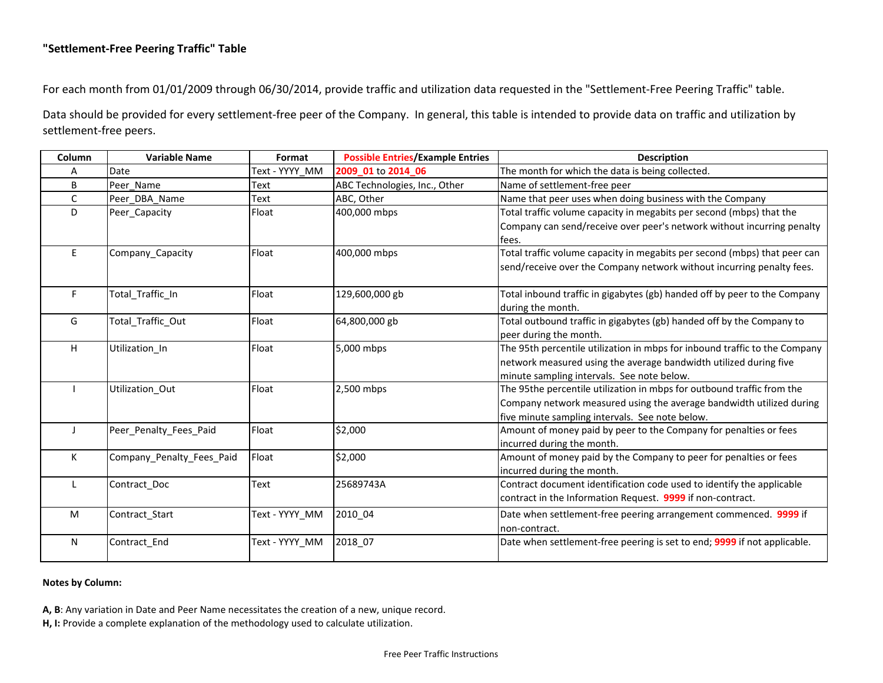## **"Settlement-Free Peering Traffic" Table**

For each month from 01/01/2009 through 06/30/2014, provide traffic and utilization data requested in the "Settlement-Free Peering Traffic" table.

Data should be provided for every settlement-free peer of the Company. In general, this table is intended to provide data on traffic and utilization by settlement-free peers.

| Column       | <b>Variable Name</b>      | Format         | <b>Possible Entries/Example Entries</b> | <b>Description</b>                                                         |
|--------------|---------------------------|----------------|-----------------------------------------|----------------------------------------------------------------------------|
| A            | Date                      | Text - YYYY MM | 2009_01 to 2014_06                      | The month for which the data is being collected.                           |
| B            | Peer Name                 | Text           | ABC Technologies, Inc., Other           | Name of settlement-free peer                                               |
| C            | Peer DBA Name             | <b>Text</b>    | ABC, Other                              | Name that peer uses when doing business with the Company                   |
| D            | Peer Capacity             | Float          | 400,000 mbps                            | Total traffic volume capacity in megabits per second (mbps) that the       |
|              |                           |                |                                         | Company can send/receive over peer's network without incurring penalty     |
|              |                           |                |                                         | fees.                                                                      |
| E            | Company_Capacity          | Float          | 400,000 mbps                            | Total traffic volume capacity in megabits per second (mbps) that peer can  |
|              |                           |                |                                         | send/receive over the Company network without incurring penalty fees.      |
|              |                           |                |                                         |                                                                            |
| F.           | Total_Traffic_In          | Float          | 129,600,000 gb                          | Total inbound traffic in gigabytes (gb) handed off by peer to the Company  |
|              |                           |                |                                         | during the month.                                                          |
| G            | Total_Traffic_Out         | Float          | 64,800,000 gb                           | Total outbound traffic in gigabytes (gb) handed off by the Company to      |
|              |                           |                |                                         | peer during the month.                                                     |
| H            | Utilization In            | Float          | 5,000 mbps                              | The 95th percentile utilization in mbps for inbound traffic to the Company |
|              |                           |                |                                         | network measured using the average bandwidth utilized during five          |
|              |                           |                |                                         | minute sampling intervals. See note below.                                 |
|              | Utilization_Out           | Float          | 2,500 mbps                              | The 95the percentile utilization in mbps for outbound traffic from the     |
|              |                           |                |                                         | Company network measured using the average bandwidth utilized during       |
|              |                           |                |                                         | five minute sampling intervals. See note below.                            |
| $\mathbf{J}$ | Peer Penalty Fees Paid    | Float          | \$2,000                                 | Amount of money paid by peer to the Company for penalties or fees          |
|              |                           |                |                                         | incurred during the month.                                                 |
| K            | Company Penalty Fees Paid | Float          | \$2,000                                 | Amount of money paid by the Company to peer for penalties or fees          |
|              |                           |                |                                         | incurred during the month.                                                 |
| L            | Contract_Doc              | <b>Text</b>    | 25689743A                               | Contract document identification code used to identify the applicable      |
|              |                           |                |                                         | contract in the Information Request. 9999 if non-contract.                 |
| M            | Contract_Start            | Text - YYYY_MM | 2010 04                                 | Date when settlement-free peering arrangement commenced. 9999 if           |
|              |                           |                |                                         | non-contract.                                                              |
| $\mathsf{N}$ | Contract_End              | Text - YYYY_MM | 2018 07                                 | Date when settlement-free peering is set to end; 9999 if not applicable.   |
|              |                           |                |                                         |                                                                            |

### **Notes by Column:**

**A, B**: Any variation in Date and Peer Name necessitates the creation of a new, unique record.

**H, I:** Provide a complete explanation of the methodology used to calculate utilization.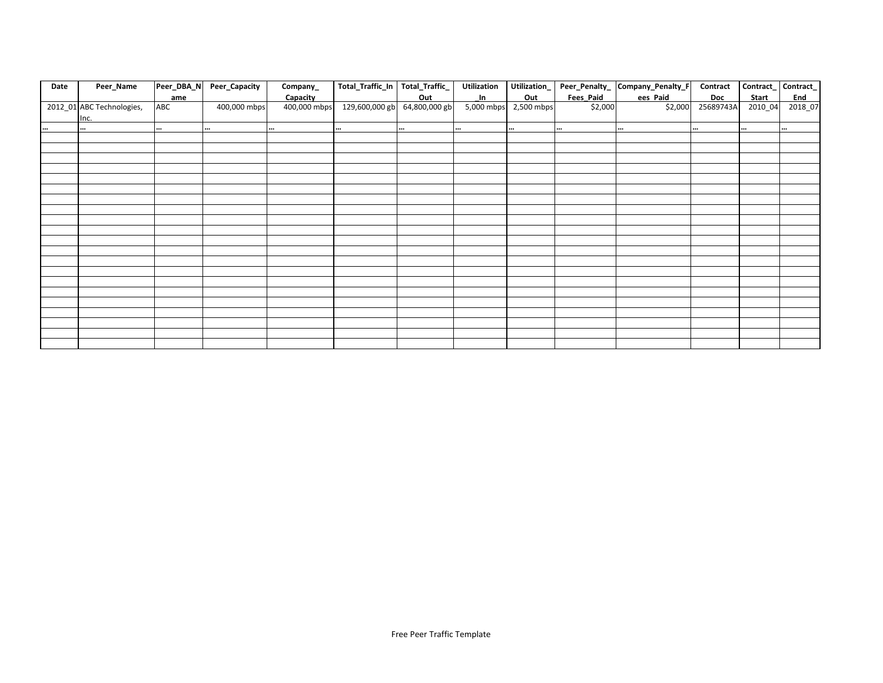| Date     | Peer_Name                 | Peer_DBA_N | Peer_Capacity | Company_     | Total_Traffic_In | Total_Traffic_ | <b>Utilization</b> | Utilization_ |                  | Peer_Penalty_ Company_Penalty_F | Contract   | Contract_ | Contract_  |
|----------|---------------------------|------------|---------------|--------------|------------------|----------------|--------------------|--------------|------------------|---------------------------------|------------|-----------|------------|
|          |                           | ame        |               | Capacity     |                  | Out            | In                 | Out          | <b>Fees Paid</b> | ees Paid                        | <b>Doc</b> | Start     | <b>End</b> |
|          | 2012_01 ABC Technologies, | ABC        | 400,000 mbps  | 400,000 mbps | 129,600,000 gb   | 64,800,000 gb  | 5,000 mbps         | 2,500 mbps   | \$2,000          | \$2,000                         | 25689743A  | 2010_04   | 2018_07    |
|          | Inc.                      |            |               |              |                  |                |                    |              |                  |                                 |            |           |            |
| $\cdots$ | $\cdots$                  | $\cdots$   |               | $\cdots$     |                  |                |                    |              | $\cdots$         |                                 | $\cdots$   | $\cdots$  | $\cdots$   |
|          |                           |            |               |              |                  |                |                    |              |                  |                                 |            |           |            |
|          |                           |            |               |              |                  |                |                    |              |                  |                                 |            |           |            |
|          |                           |            |               |              |                  |                |                    |              |                  |                                 |            |           |            |
|          |                           |            |               |              |                  |                |                    |              |                  |                                 |            |           |            |
|          |                           |            |               |              |                  |                |                    |              |                  |                                 |            |           |            |
|          |                           |            |               |              |                  |                |                    |              |                  |                                 |            |           |            |
|          |                           |            |               |              |                  |                |                    |              |                  |                                 |            |           |            |
|          |                           |            |               |              |                  |                |                    |              |                  |                                 |            |           |            |
|          |                           |            |               |              |                  |                |                    |              |                  |                                 |            |           |            |
|          |                           |            |               |              |                  |                |                    |              |                  |                                 |            |           |            |
|          |                           |            |               |              |                  |                |                    |              |                  |                                 |            |           |            |
|          |                           |            |               |              |                  |                |                    |              |                  |                                 |            |           |            |
|          |                           |            |               |              |                  |                |                    |              |                  |                                 |            |           |            |
|          |                           |            |               |              |                  |                |                    |              |                  |                                 |            |           |            |
|          |                           |            |               |              |                  |                |                    |              |                  |                                 |            |           |            |
|          |                           |            |               |              |                  |                |                    |              |                  |                                 |            |           |            |
|          |                           |            |               |              |                  |                |                    |              |                  |                                 |            |           |            |
|          |                           |            |               |              |                  |                |                    |              |                  |                                 |            |           |            |
|          |                           |            |               |              |                  |                |                    |              |                  |                                 |            |           |            |
|          |                           |            |               |              |                  |                |                    |              |                  |                                 |            |           |            |
|          |                           |            |               |              |                  |                |                    |              |                  |                                 |            |           |            |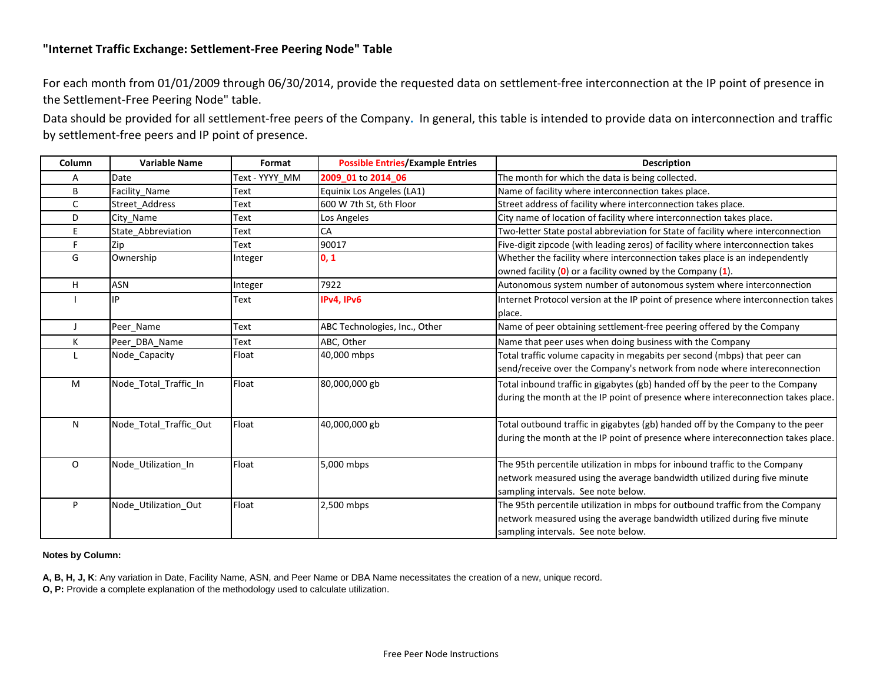## **"Internet Traffic Exchange: Settlement-Free Peering Node" Table**

For each month from 01/01/2009 through 06/30/2014, provide the requested data on settlement-free interconnection at the IP point of presence in the Settlement-Free Peering Node" table.

Data should be provided for all settlement-free peers of the Company**.** In general, this table is intended to provide data on interconnection and traffic by settlement-free peers and IP point of presence.

| Column  | <b>Variable Name</b>   | Format         | <b>Possible Entries/Example Entries</b> | <b>Description</b>                                                                |
|---------|------------------------|----------------|-----------------------------------------|-----------------------------------------------------------------------------------|
| А       | Date                   | Text - YYYY MM | 2009_01 to 2014_06                      | The month for which the data is being collected.                                  |
| B       | Facility Name          | Text           | Equinix Los Angeles (LA1)               | Name of facility where interconnection takes place.                               |
| C       | Street Address         | Text           | 600 W 7th St, 6th Floor                 | Street address of facility where interconnection takes place.                     |
| D       | City Name              | Text           | Los Angeles                             | City name of location of facility where interconnection takes place.              |
| E       | State Abbreviation     | Text           | <b>CA</b>                               | Two-letter State postal abbreviation for State of facility where interconnection  |
| F       | Zip                    | Text           | 90017                                   | Five-digit zipcode (with leading zeros) of facility where interconnection takes   |
| G       | Ownership              | Integer        | 0, 1                                    | Whether the facility where interconnection takes place is an independently        |
|         |                        |                |                                         | owned facility $(0)$ or a facility owned by the Company $(1)$ .                   |
| H       | ASN                    | Integer        | 7922                                    | Autonomous system number of autonomous system where interconnection               |
|         | IP                     | Text           | IPv4, IPv6                              | Internet Protocol version at the IP point of presence where interconnection takes |
|         |                        |                |                                         | place.                                                                            |
|         | Peer Name              | <b>Text</b>    | ABC Technologies, Inc., Other           | Name of peer obtaining settlement-free peering offered by the Company             |
| Κ       | Peer DBA Name          | Text           | ABC, Other                              | Name that peer uses when doing business with the Company                          |
|         | Node Capacity          | Float          | 40,000 mbps                             | Total traffic volume capacity in megabits per second (mbps) that peer can         |
|         |                        |                |                                         | send/receive over the Company's network from node where intereconnection          |
| M       | Node Total Traffic In  | Float          | 80,000,000 gb                           | Total inbound traffic in gigabytes (gb) handed off by the peer to the Company     |
|         |                        |                |                                         | during the month at the IP point of presence where intereconnection takes place.  |
|         |                        |                |                                         |                                                                                   |
| N       | Node Total Traffic Out | Float          | 40,000,000 gb                           | Total outbound traffic in gigabytes (gb) handed off by the Company to the peer    |
|         |                        |                |                                         | during the month at the IP point of presence where intereconnection takes place.  |
|         |                        |                |                                         |                                                                                   |
| $\circ$ | Node_Utilization_In    | Float          | 5,000 mbps                              | The 95th percentile utilization in mbps for inbound traffic to the Company        |
|         |                        |                |                                         | network measured using the average bandwidth utilized during five minute          |
|         |                        |                |                                         | sampling intervals. See note below.                                               |
| P       | Node_Utilization_Out   | Float          | 2,500 mbps                              | The 95th percentile utilization in mbps for outbound traffic from the Company     |
|         |                        |                |                                         | network measured using the average bandwidth utilized during five minute          |
|         |                        |                |                                         | sampling intervals. See note below.                                               |

**Notes by Column:**

**A, B, H, J, K**: Any variation in Date, Facility Name, ASN, and Peer Name or DBA Name necessitates the creation of a new, unique record.

**O, P:** Provide a complete explanation of the methodology used to calculate utilization.